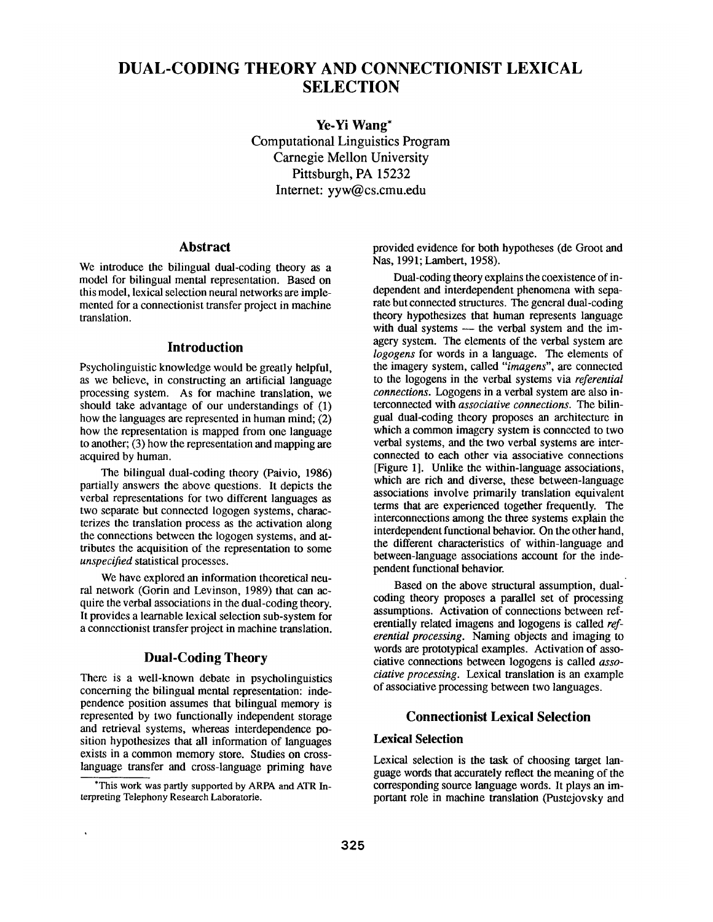# **DUAL-CODING THEORY AND CONNECTIONIST LEXICAL SELECTION**

**Ye-Yi Wang\***  Computational Linguistics Program Carnegie Mellon University Pittsburgh, PA 15232 Internet: yyw@cs.cmu.edu

## **Abstract**

We introduce the bilingual dual-coding theory as a model for bilingual mental representation. Based on this model, lexical selection neural networks are implemented for a connectionist transfer project in machine translation.

# **Introduction**

Psycholinguistic knowledge would be greatly helpful, as we believe, in constructing an artificial language processing system. As for machine translation, we should take advantage of our understandings of (1) how the languages are represented in human mind; (2) how the representation is mapped from one language to another; (3) how the representation and mapping are acquired by human.

The bilingual dual-coding theory (Paivio, 1986) partially answers the above questions. It depicts the verbal representations for two different languages as two separate but connected logogen systems, characterizes the translation process as the activation along the connections between the logogen systems, and attributes the acquisition of the representation to some *unspecified* statistical processes.

We have explored an information theoretical neural network (Gorin and Levinson, 1989) that can acquire the verbal associations in the dual-coding theory. It provides a learnable lexical selection sub-system for a connectionist transfer project in machine translation.

## **Dual-Coding Theory**

There is a well-known debate in psycholinguistics concerning the bilingual mental representation: independence position assumes that bilingual memory is represented by two functionally independent storage and retrieval systems, whereas interdependence position hypothesizes that all information of languages exists in a common memory store. Studies on crosslanguage transfer and cross-language priming have

\*This work was partly supported by ARPA and ATR Interpreting Telephony Research Laboratorie.

provided evidence for both hypotheses (de Groot and Nas, 1991; Lambert, 1958).

Dual-coding theory explains the coexistence of independent and interdependent phenomena with separate but connected structures. The general dual-coding theory hypothesizes that human represents language with dual systems  $-$  the verbal system and the imagery system. The elements of the verbal system are *logogens* for words in a language. The elements of the imagery system, called *"imagens", are* connected to the logogens in the verbal systems via *referential connections.* Logogens in a verbal system are also interconnected with *associative connections. The* bilingual dual-coding theory proposes an architecture in which a common imagery system is connected to two verbal systems, and the two verbal systems are interconnected to each other via associative connections [Figure 1]. Unlike the within-language associations, which are rich and diverse, these between-language associations involve primarily translation equivalent terms that are experienced together frequently. The interconnections among the three systems explain the interdependent functional behavior. On the other hand, the different characteristics of within-language and between-language associations account for the independent functional behavior.

Based on the above structural assumption, dualcoding theory proposes a parallel set of processing assumptions. Activation of connections between referentially related imagens and logogens is called *referential processing.* Naming objects and imaging to words are prototypical examples. Activation of associative connections between logogens is called *associative processing.* Lexical translation is an example of associative processing between two languages.

## **Connectionist Lexical Selection**

# **Lexical Selection**

Lexical selection is the task of choosing target language words that accurately reflect the meaning of the corresponding source language words. It plays an important role in machine translation (Pustejovsky and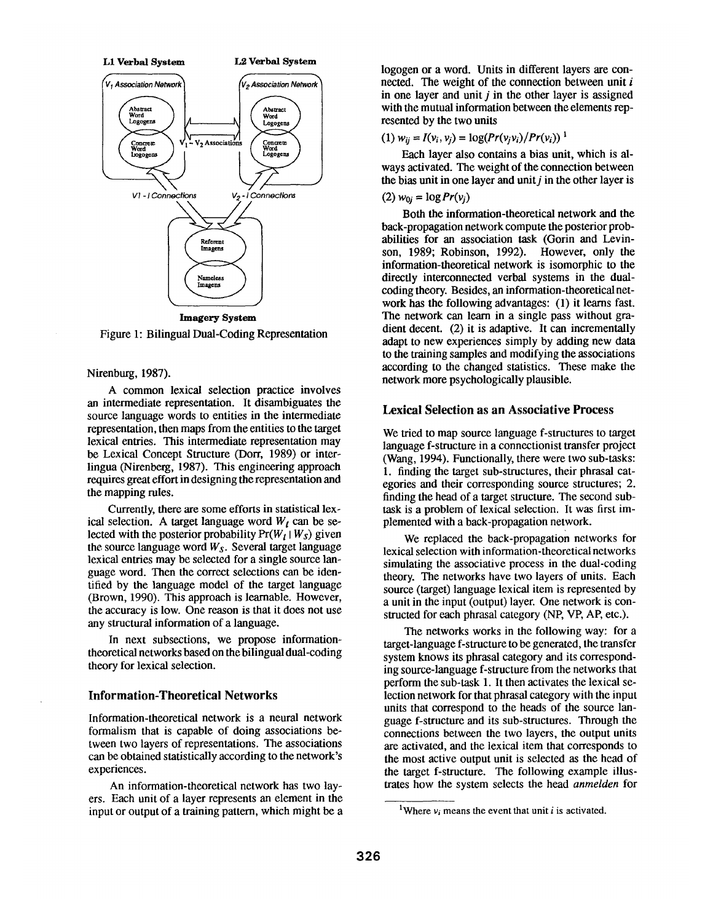

Figure 1: Bilingual Dual-Coding Representation

#### Nirenburg, 1987).

A common lexical selection practice involves an intermediate representation. It disambiguates the source language words to entities in the intermediate representation, then maps from the entities to the target lexical entries. This intermediate representation may be Lexical Concept Structure (Dorr, 1989) or interlingua (Nirenberg, 1987). This engineering approach requires great effort in designing the representation and the mapping rules.

Currently, there are some efforts in statistical lexical selection. A target language word  $W_t$  can be selected with the posterior probability  $Pr(W_t | W_s)$  given the source language word *Ws.* Several target language lexicai entries may be selected for a single source language word. Then the correct selections can be identiffed by the language model of the target language (Brown, 1990). This approach is learnable. However, the accuracy is low. One reason is that it does not use any structural information of a language.

In next subsections, we propose informationtheoretical networks based on the bilingual dual-coding theory for lexical selection.

### **Information-Theoretical Networks**

Information-theoretical network is a neural network formalism that is capable of doing associations between two layers of representations. The associations can be obtained statistically according to the network's experiences.

An information-theoretical network has two layers. Each unit of a layer represents an element in the input or output of a training pattern, which might be a logogen or a word. Units in different layers are connected. The weight of the connection between unit  $i$ in one layer and unit  $i$  in the other layer is assigned with the mutual information between the elements represenled by the two units

#### (1)  $w_{ii} = I(v_i, v_i) = \log(Pr(v_i v_i)/Pr(v_i))$ <sup>1</sup>

Each layer also contains a bias unit, which is always activated. The weight of the connection between the bias unit in one layer and unit  $j$  in the other layer is

### (2)  $w_{0i} = \log Pr(v_i)$

Both the information-theoretical network and the back-propagation network compute the posterior probabilities for an association task (Gorin and Levinson, 1989; Robinson, 1992). However, only the information-theoretical network is isomorphic to the directly interconnected verbal systems in the dualcoding theory. Besides, an information-theoretical network has the following advantages: (1) it learns fast. The network can learn in a single pass without gradient decent. (2) it is adaptive. It can incrementally adapt to new experiences simply by adding new data to the training samples and modifying the associations according to the changed statistics. These make the network more psychologically plausible.

# **Lexical Selection as an Associative Process**

We tried to map source language f-structures to target language f-structure in a connectionist transfer project (Wang, 1994). Functionally, there were two sub-tasks: 1. finding the target sub-structures, their phrasal categories and their corresponding source structures; 2. finding the head of a target structure. The second subtask is a problem of lexical selection. It was first implemented with a back-propagation network.

We replaced the back-propagation networks for lexical selection with information-theoretical networks simulating the associative process in the dual-coding theory. The networks have two layers of units. Each source (target) language lexical item is represented by a unit in the input (output) layer. One network is constructed for each phrasal category (NP, VP, AP, etc.).

The networks works in the following way: for a target-language f-structure to be generated, the transfer system knows its phrasal category and its corresponding source-language f-structure from the networks that perform the sub-task 1. It then activates the lexical selection network for that phrasal category with the input units that correspond to the heads of the source language f-structure and its sub-structures. Through the connections between the two layers, the output units are activated, and the lexical item that corresponds to the most active output unit is selected as the head of the target f-structure. The following example illustrates how the system selects the head *anmelden* for

<sup>&</sup>lt;sup>1</sup>Where  $v_i$  means the event that unit  $i$  is activated.